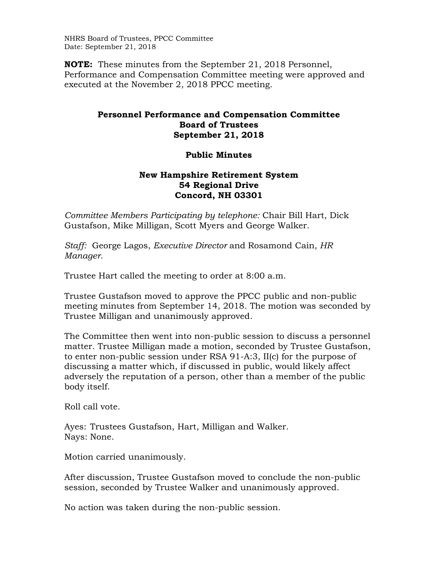NHRS Board of Trustees, PPCC Committee Date: September 21, 2018

**NOTE:** These minutes from the September 21, 2018 Personnel, Performance and Compensation Committee meeting were approved and executed at the November 2, 2018 PPCC meeting.

## **Personnel Performance and Compensation Committee Board of Trustees September 21, 2018**

## **Public Minutes**

## **New Hampshire Retirement System 54 Regional Drive Concord, NH 03301**

*Committee Members Participating by telephone:* Chair Bill Hart, Dick Gustafson, Mike Milligan, Scott Myers and George Walker.

*Staff:* George Lagos, *Executive Director* and Rosamond Cain*, HR Manager.* 

Trustee Hart called the meeting to order at 8:00 a.m.

Trustee Gustafson moved to approve the PPCC public and non-public meeting minutes from September 14, 2018. The motion was seconded by Trustee Milligan and unanimously approved.

The Committee then went into non-public session to discuss a personnel matter. Trustee Milligan made a motion, seconded by Trustee Gustafson, to enter non-public session under RSA 91-A:3, II(c) for the purpose of discussing a matter which, if discussed in public, would likely affect adversely the reputation of a person, other than a member of the public body itself.

Roll call vote.

Ayes: Trustees Gustafson, Hart, Milligan and Walker. Nays: None.

Motion carried unanimously.

After discussion, Trustee Gustafson moved to conclude the non-public session, seconded by Trustee Walker and unanimously approved.

No action was taken during the non-public session.